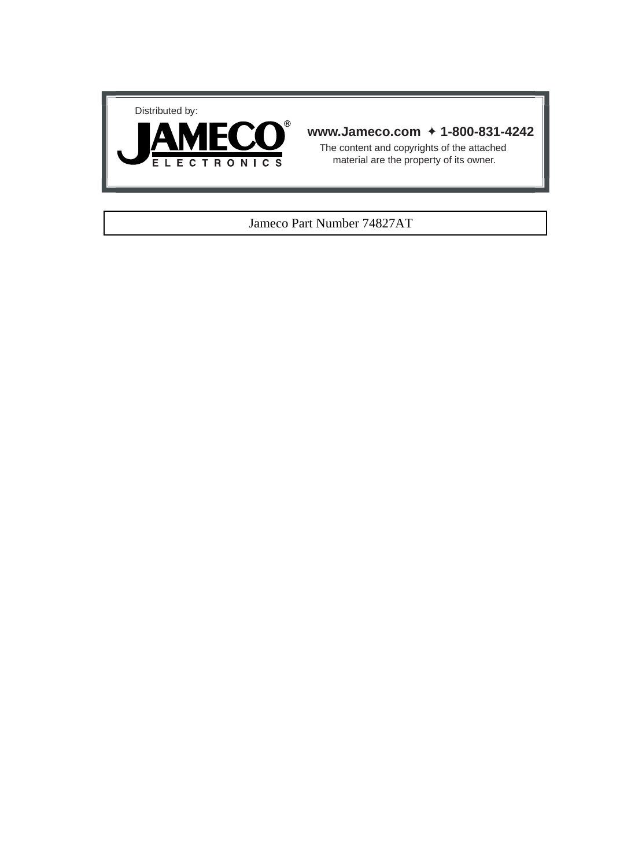



#### **www.Jameco.com** ✦ **1-800-831-4242**

The content and copyrights of the attached material are the property of its owner.

#### Jameco Part Number 74827AT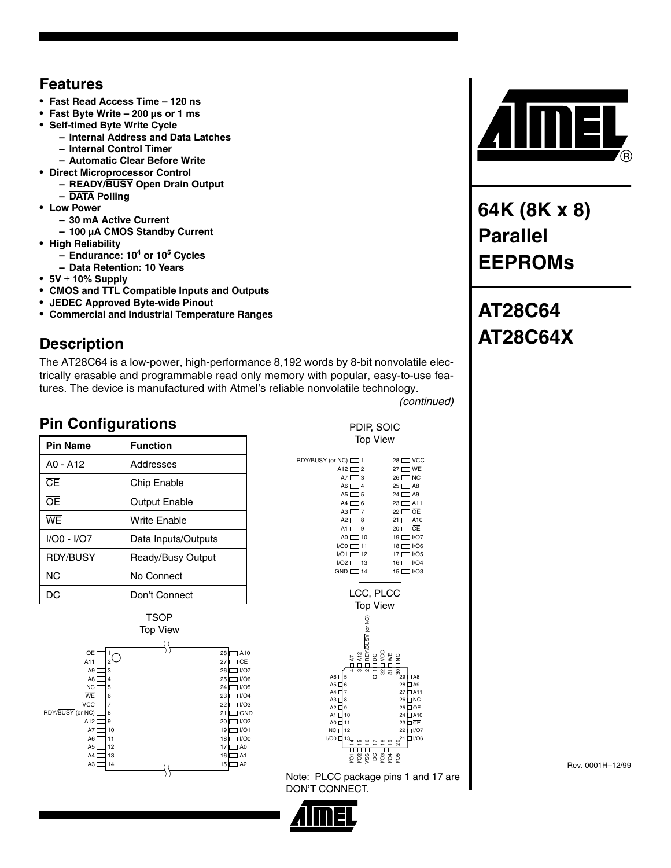#### **Features**

- **Fast Read Access Time 120 ns**
- **Fast Byte Write 200 µs or 1 ms**
- **Self-timed Byte Write Cycle**
	- **– Internal Address and Data Latches**
		- **– Internal Control Timer**
- **– Automatic Clear Before Write**
- **Direct Microprocessor Control**
	- **– READY/BUSY Open Drain Output**
	- **– DATA Polling**
- **Low Power**
	- **– 30 mA Active Current**
	- **– 100 µA CMOS Standby Current**
- **High Reliability**
	- **– Endurance: 10<sup>4</sup> or 10<sup>5</sup> Cycles**
	- **– Data Retention: 10 Years**
- **5V** ± **10% Supply**
- **CMOS and TTL Compatible Inputs and Outputs**
- **JEDEC Approved Byte-wide Pinout**
- **Commercial and Industrial Temperature Ranges**

# **Description**

The AT28C64 is a low-power, high-performance 8,192 words by 8-bit nonvolatile electrically erasable and programmable read only memory with popular, easy-to-use features. The device is manufactured with Atmel's reliable nonvolatile technology.

*(continued)*

## **Pin Configurations**

| <b>Pin Name</b> | <b>Function</b>      |
|-----------------|----------------------|
| $AO - A12$      | Addresses            |
| $\overline{CE}$ | <b>Chip Enable</b>   |
| Œ               | <b>Output Enable</b> |
| WF              | Write Enable         |
| I/O0 - I/O7     | Data Inputs/Outputs  |
| <b>RDY/BUSY</b> | Ready/Busy Output    |
| NC.             | No Connect           |
| DC              | Don't Connect        |





Note: PLCC package pins 1 and 17 are DON'T CONNECT.





**64K (8K x 8) Parallel EEPROMs**

# **AT28C64 AT28C64X**

Rev. 0001H–12/99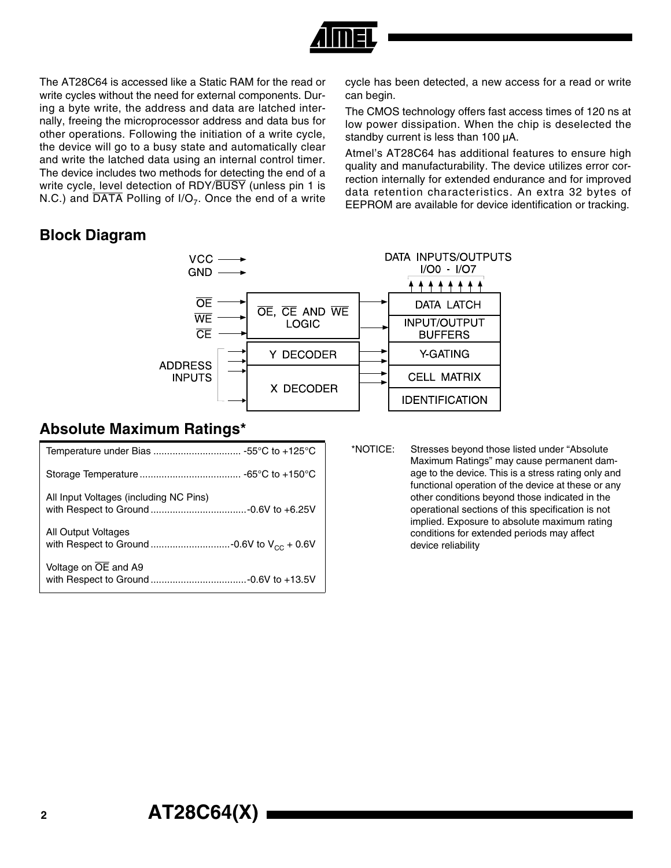

The AT28C64 is accessed like a Static RAM for the read or write cycles without the need for external components. During a byte write, the address and data are latched internally, freeing the microprocessor address and data bus for other operations. Following the initiation of a write cycle, the device will go to a busy state and automatically clear and write the latched data using an internal control timer. The device includes two methods for detecting the end of a write cycle, level detection of RDY/BUSY (unless pin 1 is N.C.) and  $\overline{DATA}$  Polling of I/O<sub>7</sub>. Once the end of a write

#### **Block Diagram**

cycle has been detected, a new access for a read or write can begin.

The CMOS technology offers fast access times of 120 ns at low power dissipation. When the chip is deselected the standby current is less than 100  $\mu$ A.

Atmel's AT28C64 has additional features to ensure high quality and manufacturability. The device utilizes error correction internally for extended endurance and for improved data retention characteristics. An extra 32 bytes of EEPROM are available for device identification or tracking.



#### **Absolute Maximum Ratings\***

| All Input Voltages (including NC Pins) |
|----------------------------------------|
| All Output Voltages                    |
| Voltage on OE and A9                   |

\*NOTICE: Stresses beyond those listed under "Absolute Maximum Ratings" may cause permanent damage to the device. This is a stress rating only and functional operation of the device at these or any other conditions beyond those indicated in the operational sections of this specification is not implied. Exposure to absolute maximum rating conditions for extended periods may affect device reliability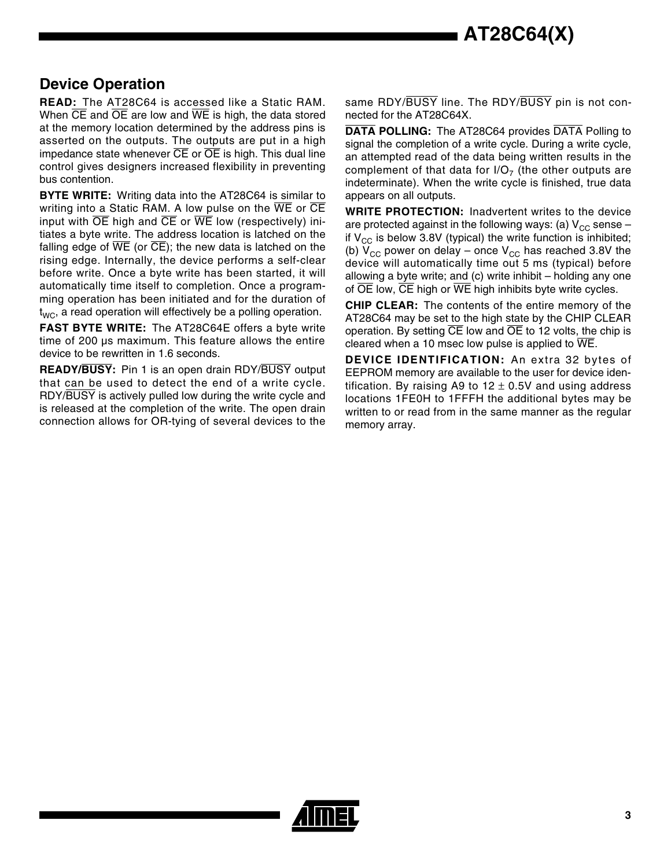#### **Device Operation**

**READ:** The AT28C64 is accessed like a Static RAM. When  $\overline{CE}$  and  $\overline{OE}$  are low and  $\overline{WE}$  is high, the data stored at the memory location determined by the address pins is asserted on the outputs. The outputs are put in a high impedance state whenever  $\overline{\text{CE}}$  or  $\overline{\text{OE}}$  is high. This dual line control gives designers increased flexibility in preventing bus contention.

**BYTE WRITE:** Writing data into the AT28C64 is similar to writing into a Static RAM. A low pulse on the WE or CE input with  $\overline{OE}$  high and  $\overline{CE}$  or  $\overline{WE}$  low (respectively) initiates a byte write. The address location is latched on the falling edge of  $\overline{WE}$  (or  $\overline{CE}$ ); the new data is latched on the rising edge. Internally, the device performs a self-clear before write. Once a byte write has been started, it will automatically time itself to completion. Once a programming operation has been initiated and for the duration of  $t_{WC}$ , a read operation will effectively be a polling operation.

**FAST BYTE WRITE:** The AT28C64E offers a byte write time of 200 µs maximum. This feature allows the entire device to be rewritten in 1.6 seconds.

**READY/BUSY:** Pin 1 is an open drain RDY/BUSY output that can be used to detect the end of a write cycle. RDY/BUSY is actively pulled low during the write cycle and is released at the completion of the write. The open drain connection allows for OR-tying of several devices to the

same RDY/BUSY line. The RDY/BUSY pin is not connected for the AT28C64X.

**DATA POLLING:** The AT28C64 provides DATA Polling to signal the completion of a write cycle. During a write cycle, an attempted read of the data being written results in the complement of that data for  $I/O<sub>7</sub>$  (the other outputs are indeterminate). When the write cycle is finished, true data appears on all outputs.

**WRITE PROTECTION:** Inadvertent writes to the device are protected against in the following ways: (a)  $V_{CC}$  sense – if  $V_{CC}$  is below 3.8V (typical) the write function is inhibited; (b)  $V_{CC}$  power on delay – once  $V_{CC}$  has reached 3.8V the device will automatically time out 5 ms (typical) before allowing a byte write; and (c) write inhibit – holding any one of  $\overline{OE}$  low,  $\overline{CE}$  high or  $\overline{WE}$  high inhibits byte write cycles.

**CHIP CLEAR:** The contents of the entire memory of the AT28C64 may be set to the high state by the CHIP CLEAR operation. By setting  $\overline{CE}$  low and  $\overline{OE}$  to 12 volts, the chip is cleared when a 10 msec low pulse is applied to WE.

**DEVICE IDENTIFICATION:** An extra 32 bytes of EEPROM memory are available to the user for device identification. By raising A9 to  $12 \pm 0.5V$  and using address locations 1FE0H to 1FFFH the additional bytes may be written to or read from in the same manner as the regular memory array.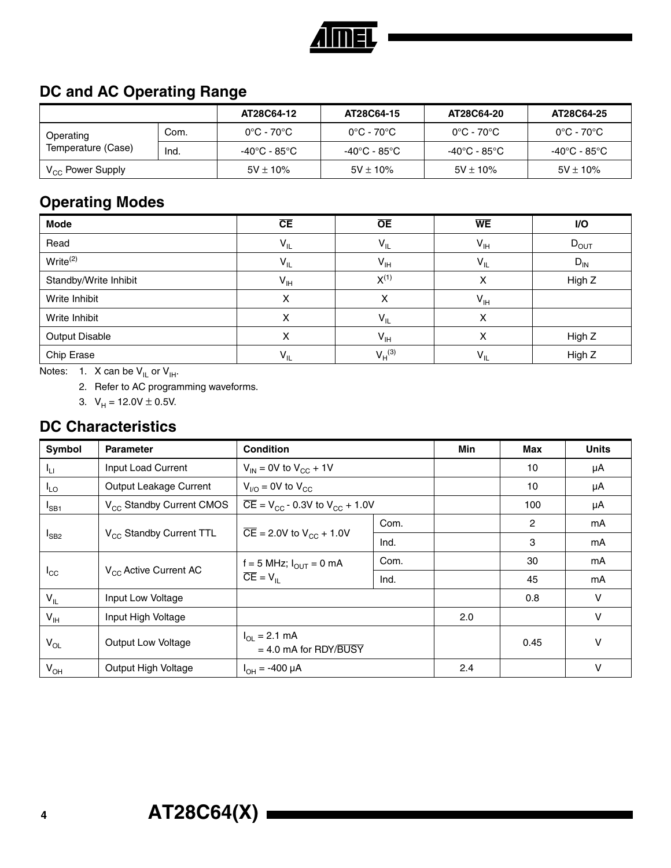

## **DC and AC Operating Range**

|                              |      | AT28C64-12                      | AT28C64-15                      | AT28C64-20                      | AT28C64-25    |
|------------------------------|------|---------------------------------|---------------------------------|---------------------------------|---------------|
| Operating                    | Com. | $0^{\circ}$ C - 70 $^{\circ}$ C | $0^{\circ}$ C - 70 $^{\circ}$ C | $0^{\circ}$ C - 70 $^{\circ}$ C | 0°C - 70°C    |
| Temperature (Case)           | Ind. | -40°C - 85°C                    | -40°C - 85°C                    | -40°C - 85°C                    | -40°C - 85°C  |
| V <sub>CC</sub> Power Supply |      | $5V \pm 10\%$                   | $5V \pm 10\%$                   | $5V \pm 10\%$                   | $5V \pm 10\%$ |

#### **Operating Modes**

| Mode                  | CE              | $\overline{OE}$ | <b>WE</b>                  | I/O       |
|-----------------------|-----------------|-----------------|----------------------------|-----------|
| Read                  | $V_{IL}$        | $V_{IL}$        | $\mathsf{V}_{\mathsf{IH}}$ | $D_{OUT}$ |
| $Write^{(2)}$         | $V_{IL}$        | $V_{\text{IH}}$ | $V_{IL}$                   | $D_{IN}$  |
| Standby/Write Inhibit | $V_{\text{IH}}$ | $X^{(1)}$       | χ                          | High Z    |
| Write Inhibit         | х               | x               | $V_{IH}$                   |           |
| Write Inhibit         | Χ               | $V_{IL}$        | х                          |           |
| <b>Output Disable</b> | х               | $V_{\text{IH}}$ | х                          | High Z    |
| Chip Erase            | $V_{IL}$        | $V_H^{(3)}$     | $V_{IL}$                   | High Z    |

Notes: 1. X can be  $V_{IL}$  or  $V_{IH}$ .

2. Refer to AC programming waveforms.

3.  $V_H = 12.0V \pm 0.5V$ .

#### **DC Characteristics**

| Symbol          | <b>Parameter</b>                     | <b>Condition</b>                                                   | <b>Min</b> | <b>Max</b> | <b>Units</b> |        |
|-----------------|--------------------------------------|--------------------------------------------------------------------|------------|------------|--------------|--------|
| ŀц              | Input Load Current                   | $V_{IN}$ = 0V to $V_{CC}$ + 1V                                     |            | 10         | μA           |        |
| $I_{LO}$        | Output Leakage Current               | $V_{\text{I/O}}$ = 0V to $V_{\text{CC}}$                           |            |            | 10           | μA     |
| $I_{SB1}$       | V <sub>CC</sub> Standby Current CMOS | $\overline{CE}$ = V <sub>CC</sub> - 0.3V to V <sub>CC</sub> + 1.0V |            |            | 100          | μA     |
|                 |                                      |                                                                    | Com.       |            | 2            | mA     |
| $I_{SB2}$       | V <sub>CC</sub> Standby Current TTL  | $\overline{CE}$ = 2.0V to $V_{CC}$ + 1.0V                          | Ind.       |            | 3            | mA     |
|                 |                                      | f = 5 MHz; $I_{\text{OUT}}$ = 0 mA<br>$\overline{CE} = V_{IL}$     | Com.       |            | 30           | mA     |
| $I_{\rm CC}$    | V <sub>CC</sub> Active Current AC    |                                                                    | Ind.       |            | 45           | mA     |
| $V_{IL}$        | Input Low Voltage                    |                                                                    |            |            | 0.8          | $\vee$ |
| $V_{\text{IH}}$ | Input High Voltage                   |                                                                    |            | 2.0        |              | $\vee$ |
| $V_{OL}$        | <b>Output Low Voltage</b>            | $I_{\Omega}$ = 2.1 mA<br>$= 4.0$ mA for RDY/BUSY                   |            | 0.45       | V            |        |
| $V_{OH}$        | Output High Voltage                  | $I_{OH} = -400 \mu A$                                              |            | 2.4        |              | V      |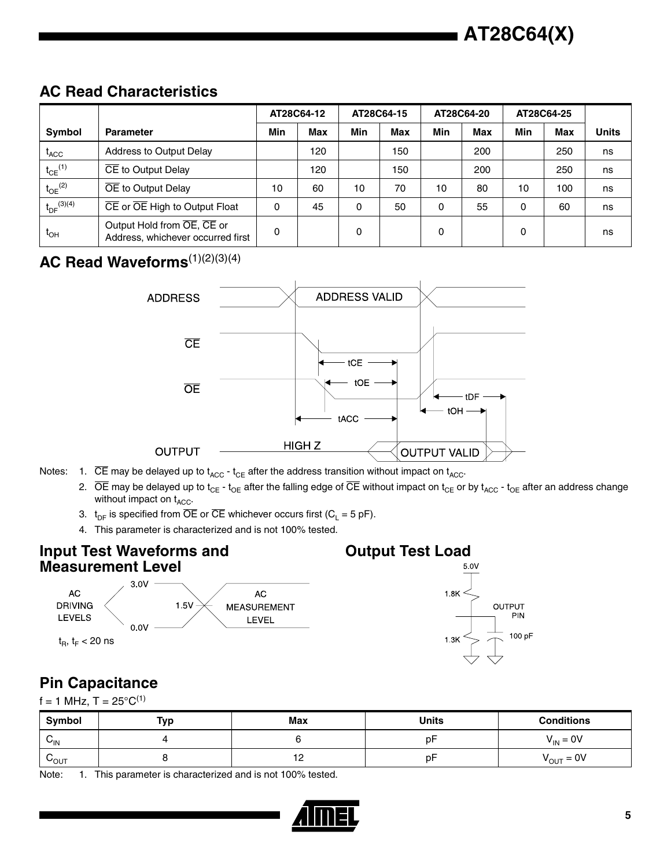## **AC Read Characteristics**

|                              |                                                                 | AT28C64-12        |     |     | AT28C64-15 |     | AT28C64-20 |     | AT28C64-25 |              |
|------------------------------|-----------------------------------------------------------------|-------------------|-----|-----|------------|-----|------------|-----|------------|--------------|
| <b>Symbol</b>                | <b>Parameter</b>                                                | Min<br><b>Max</b> |     | Min | Max        | Min | <b>Max</b> | Min | <b>Max</b> | <b>Units</b> |
| $t_{\text{ACC}}$             | Address to Output Delay                                         |                   | 120 |     | 150        |     | 200        |     | 250        | ns           |
| $t_{CE}$ <sup>(1)</sup>      | CE to Output Delay                                              |                   | 120 |     | 150        |     | 200        |     | 250        | ns           |
| $t_{OE}$ <sup>(2)</sup>      | OE to Output Delay                                              |                   | 60  | 10  | 70         | 10  | 80         | 10  | 100        | ns           |
| $t_{DF}^{(3)(4)}$            | CE or OE High to Output Float                                   | 0                 | 45  | 0   | 50         | 0   | 55         | 0   | 60         | ns           |
| $\mathfrak{r}_{\mathsf{OH}}$ | Output Hold from OE, CE or<br>Address, whichever occurred first | 0                 |     | 0   |            | 0   |            | 0   |            | ns           |

### AC Read Waveforms<sup>(1)(2)(3)(4)</sup>



- Notes: 1.  $\overline{CE}$  may be delayed up to  $t_{ACC}$   $t_{CE}$  after the address transition without impact on  $t_{ACC}$ .
	- 2.  $\overline{OE}$  may be delayed up to t<sub>CE</sub> t<sub>OE</sub> after the falling edge of  $\overline{CE}$  without impact on t<sub>CE</sub> or by t<sub>ACC</sub> t<sub>OE</sub> after an address change without impact on  $t_{ACC}$ .
	- 3.  $t_{DF}$  is specified from  $\overline{OE}$  or  $\overline{CE}$  whichever occurs first (C<sub>L</sub> = 5 pF).
	- 4. This parameter is characterized and is not 100% tested.

#### **Input Test Waveforms and Measurement Level**





## **Pin Capacitance**

 $f = 1$  MHz, T =  $25^{\circ}C^{(1)}$ 

| Symbol           | Typ | <b>Max</b> | <b>Units</b> | <b>Conditions</b>     |
|------------------|-----|------------|--------------|-----------------------|
| $V_{\text{IN}}$  |     |            | D٣           | $V_{IN} = 0V$         |
| $v_{\text{OUT}}$ |     | $\sim$     | p⊦           | $V_{\text{OUT}} = 0V$ |

Note: 1. This parameter is characterized and is not 100% tested.

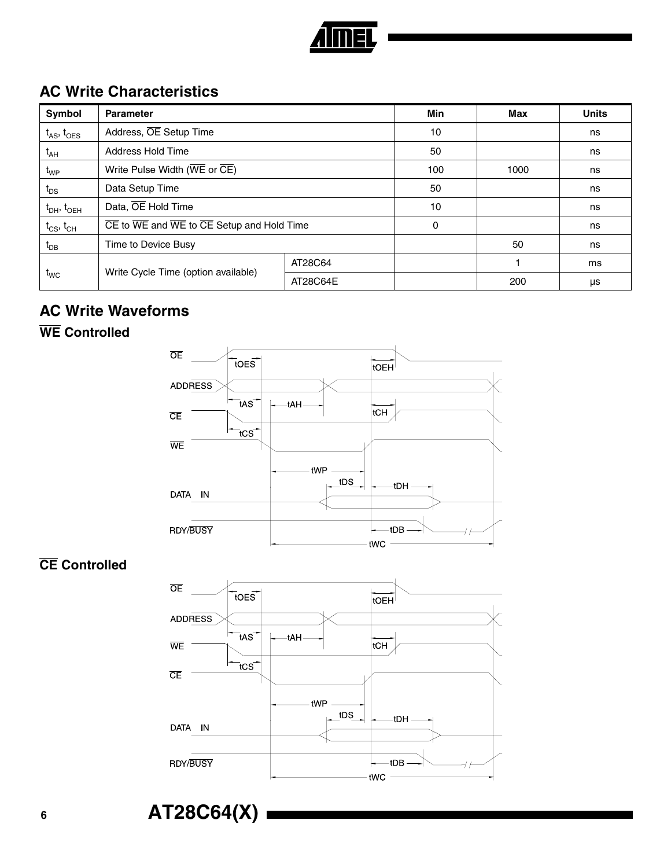

## **AC Write Characteristics**

| Symbol                   | <b>Parameter</b>                                                                              |          | <b>Min</b> | Max | <b>Units</b> |
|--------------------------|-----------------------------------------------------------------------------------------------|----------|------------|-----|--------------|
| $t_{AS}$ , $t_{OES}$     | Address, OE Setup Time                                                                        | 10       |            | ns  |              |
| $t_{AH}$                 | Address Hold Time                                                                             | 50       |            | ns  |              |
| t <sub>WP</sub>          | Write Pulse Width (WE or CE)                                                                  | 100      | 1000       | ns  |              |
| $t_{DS}$                 | Data Setup Time                                                                               | 50       |            | ns  |              |
| $\rm t_{DH},\rm t_{OEH}$ | Data, OE Hold Time                                                                            | 10       |            | ns  |              |
| $t_{CS}$ , $t_{CH}$      | $\overline{CE}$ to $\overline{WE}$ and $\overline{WE}$ to $\overline{CE}$ Setup and Hold Time | $\Omega$ |            | ns  |              |
| $t_{DB}$                 | Time to Device Busy                                                                           |          | 50         | ns  |              |
|                          |                                                                                               | AT28C64  |            |     | ms           |
| $t_{WC}$                 | Write Cycle Time (option available)                                                           | AT28C64E |            | 200 | μs           |

#### **AC Write Waveforms**

#### **WE Controlled**



### **CE Controlled**



**<sup>6</sup> AT28C64(X)**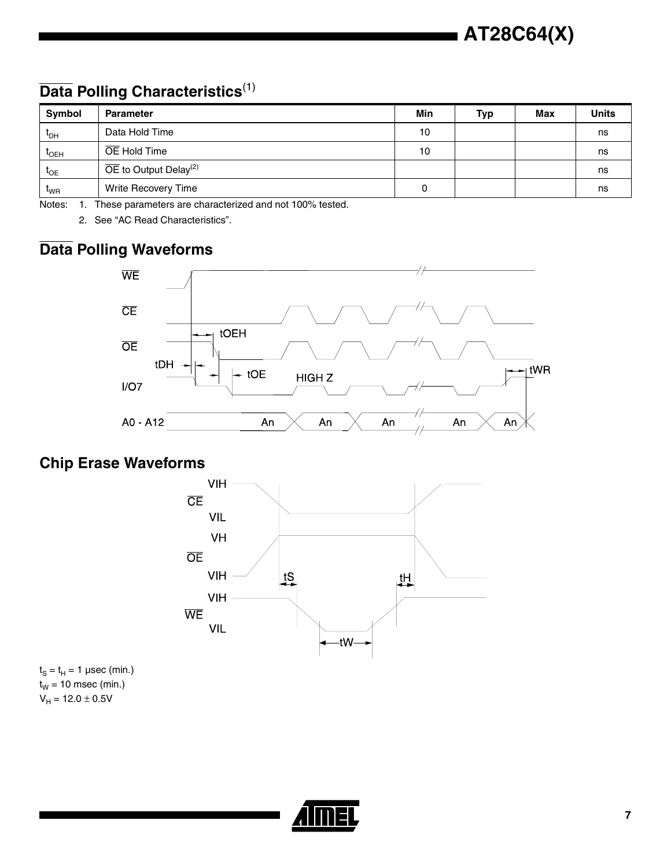# **Data Polling Characteristics**(1)

| Symbol           | <b>Parameter</b>                               | Min | <b>Typ</b> | <b>Max</b> | <b>Units</b> |
|------------------|------------------------------------------------|-----|------------|------------|--------------|
| <sup>L</sup> DH  | Data Hold Time                                 | 10  |            |            | ns           |
| <sup>I</sup> OEH | OE Hold Time                                   | 10  |            |            | ns           |
| $L_{OE}$         | $\overline{OE}$ to Output Delay <sup>(2)</sup> |     |            |            | ns           |
| $I_{WR}$         | Write Recovery Time                            | 0   |            |            | ns           |

Notes: 1. These parameters are characterized and not 100% tested.

2. See "AC Read Characteristics".

### **Data Polling Waveforms**



# **Chip Erase Waveforms**



 $t<sub>S</sub> = t<sub>H</sub> = 1$  µsec (min.)  $t_W = 10$  msec (min.)  $V_H = 12.0 \pm 0.5V$ 

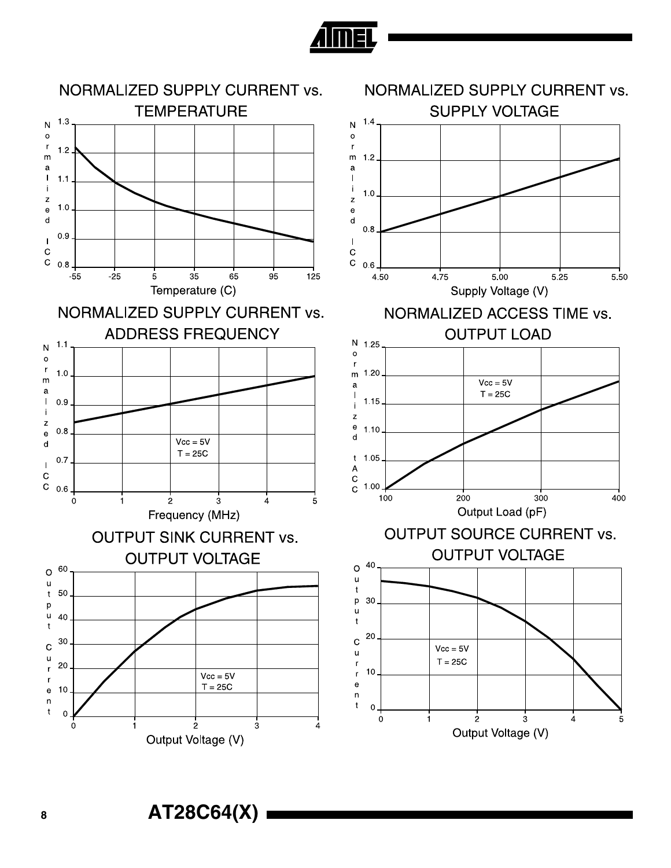

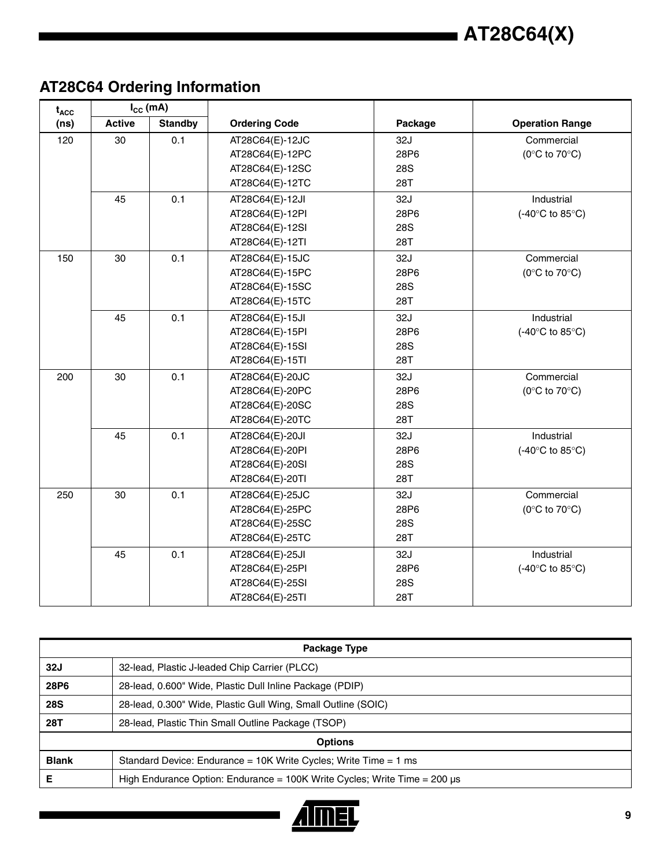

# **AT28C64 Ordering Information**

| $t_{ACC}$ | $I_{CC}$ (mA) |                |                      |            |                                            |
|-----------|---------------|----------------|----------------------|------------|--------------------------------------------|
| (ns)      | <b>Active</b> | <b>Standby</b> | <b>Ordering Code</b> | Package    | <b>Operation Range</b>                     |
| 120       | 30            | 0.1            | AT28C64(E)-12JC      | 32J        | Commercial                                 |
|           |               |                | AT28C64(E)-12PC      | 28P6       | ( $0^{\circ}$ C to $70^{\circ}$ C)         |
|           |               |                | AT28C64(E)-12SC      | <b>28S</b> |                                            |
|           |               |                | AT28C64(E)-12TC      | 28T        |                                            |
|           | 45            | 0.1            | AT28C64(E)-12JI      | 32J        | Industrial                                 |
|           |               |                | AT28C64(E)-12PI      | 28P6       | (-40°C to 85°C)                            |
|           |               |                | AT28C64(E)-12SI      | <b>28S</b> |                                            |
|           |               |                | AT28C64(E)-12TI      | 28T        |                                            |
| 150       | 30            | 0.1            | AT28C64(E)-15JC      | 32J        | Commercial                                 |
|           |               |                | AT28C64(E)-15PC      | 28P6       | (0 $\rm ^{\circ}C$ to 70 $\rm ^{\circ}C$ ) |
|           |               |                | AT28C64(E)-15SC      | <b>28S</b> |                                            |
|           |               |                | AT28C64(E)-15TC      | 28T        |                                            |
|           | 45            | 0.1            | AT28C64(E)-15JI      | 32J        | Industrial                                 |
|           |               |                | AT28C64(E)-15PI      | 28P6       | (-40°C to 85°C)                            |
|           |               |                | AT28C64(E)-15SI      | <b>28S</b> |                                            |
|           |               |                | AT28C64(E)-15TI      | 28T        |                                            |
| 200       | 30            | 0.1            | AT28C64(E)-20JC      | 32J        | Commercial                                 |
|           |               |                | AT28C64(E)-20PC      | 28P6       | ( $0^{\circ}$ C to $70^{\circ}$ C)         |
|           |               |                | AT28C64(E)-20SC      | <b>28S</b> |                                            |
|           |               |                | AT28C64(E)-20TC      | <b>28T</b> |                                            |
|           | 45            | 0.1            | AT28C64(E)-20JI      | 32J        | Industrial                                 |
|           |               |                | AT28C64(E)-20PI      | 28P6       | (-40°C to 85°C)                            |
|           |               |                | AT28C64(E)-20SI      | <b>28S</b> |                                            |
|           |               |                | AT28C64(E)-20TI      | 28T        |                                            |
| 250       | 30            | 0.1            | AT28C64(E)-25JC      | 32J        | Commercial                                 |
|           |               |                | AT28C64(E)-25PC      | 28P6       | (0 $\rm ^{\circ}C$ to 70 $\rm ^{\circ}C$ ) |
|           |               |                | AT28C64(E)-25SC      | <b>28S</b> |                                            |
|           |               |                | AT28C64(E)-25TC      | <b>28T</b> |                                            |
|           | 45            | 0.1            | AT28C64(E)-25JI      | 32J        | Industrial                                 |
|           |               |                | AT28C64(E)-25PI      | 28P6       | $(-40^{\circ}C$ to $85^{\circ}C)$          |
|           |               |                | AT28C64(E)-25SI      | <b>28S</b> |                                            |
|           |               |                | AT28C64(E)-25TI      | 28T        |                                            |

| Package Type |                                                                                  |  |  |  |  |
|--------------|----------------------------------------------------------------------------------|--|--|--|--|
| 32J          | 32-lead, Plastic J-leaded Chip Carrier (PLCC)                                    |  |  |  |  |
| 28P6         | 28-lead, 0.600" Wide, Plastic Dull Inline Package (PDIP)                         |  |  |  |  |
| <b>28S</b>   | 28-lead, 0.300" Wide, Plastic Gull Wing, Small Outline (SOIC)                    |  |  |  |  |
| 28T          | 28-lead, Plastic Thin Small Outline Package (TSOP)                               |  |  |  |  |
|              | <b>Options</b>                                                                   |  |  |  |  |
| <b>Blank</b> | Standard Device: Endurance = 10K Write Cycles; Write Time = 1 ms                 |  |  |  |  |
| Е            | High Endurance Option: Endurance = $100K$ Write Cycles; Write Time = $200 \mu s$ |  |  |  |  |

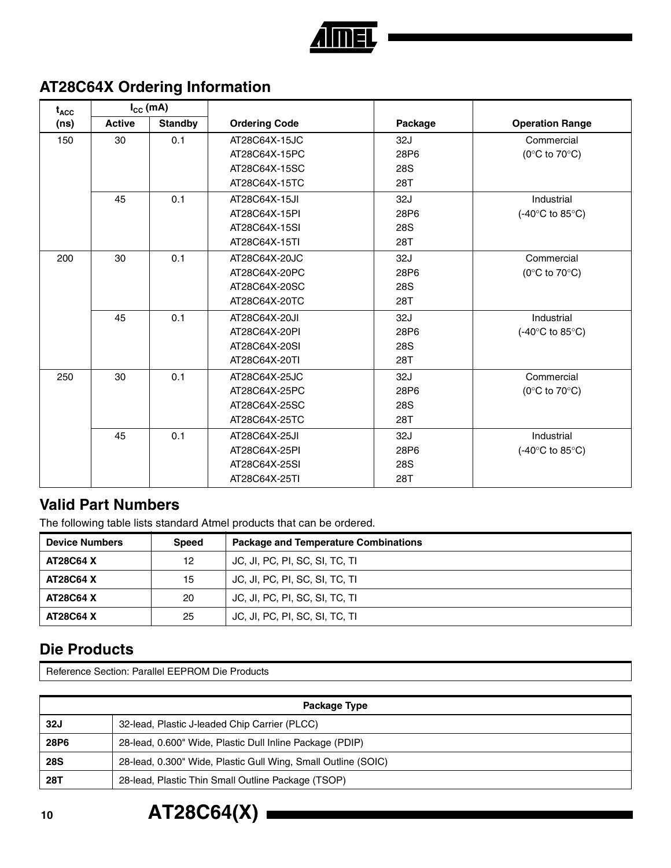

# **AT28C64X Ordering Information**

| $t_{\text{ACC}}$ | $I_{\text{cc}}$ (mA) |                |                      |         |                                             |
|------------------|----------------------|----------------|----------------------|---------|---------------------------------------------|
| (ns)             | <b>Active</b>        | <b>Standby</b> | <b>Ordering Code</b> | Package | <b>Operation Range</b>                      |
| 150              | 30                   | 0.1            | AT28C64X-15JC        | 32J     | Commercial                                  |
|                  |                      |                | AT28C64X-15PC        | 28P6    | ( $0^{\circ}$ C to $70^{\circ}$ C)          |
|                  |                      |                | AT28C64X-15SC        | 28S     |                                             |
|                  |                      |                | AT28C64X-15TC        | 28T     |                                             |
|                  | 45                   | 0.1            | AT28C64X-15JI        | 32J     | Industrial                                  |
|                  |                      |                | AT28C64X-15PI        | 28P6    | (-40 $\textdegree$ C to 85 $\textdegree$ C) |
|                  |                      |                | AT28C64X-15SI        | 28S     |                                             |
|                  |                      |                | AT28C64X-15TI        | 28T     |                                             |
| 200              | 30                   | 0.1            | AT28C64X-20JC        | 32J     | Commercial                                  |
|                  |                      |                | AT28C64X-20PC        | 28P6    | ( $0^{\circ}$ C to $70^{\circ}$ C)          |
|                  |                      |                | AT28C64X-20SC        | 28S     |                                             |
|                  |                      |                | AT28C64X-20TC        | 28T     |                                             |
|                  | 45                   | 0.1            | AT28C64X-20JI        | 32J     | Industrial                                  |
|                  |                      |                | AT28C64X-20PI        | 28P6    | $(-40^{\circ}C \text{ to } 85^{\circ}C)$    |
|                  |                      |                | AT28C64X-20SI        | 28S     |                                             |
|                  |                      |                | AT28C64X-20TI        | 28T     |                                             |
| 250              | 30                   | 0.1            | AT28C64X-25JC        | 32J     | Commercial                                  |
|                  |                      |                | AT28C64X-25PC        | 28P6    | ( $0^{\circ}$ C to $70^{\circ}$ C)          |
|                  |                      |                | AT28C64X-25SC        | 28S     |                                             |
|                  |                      |                | AT28C64X-25TC        | 28T     |                                             |
|                  | 45                   | 0.1            | AT28C64X-25JI        | 32J     | Industrial                                  |
|                  |                      |                | AT28C64X-25PI        | 28P6    | $(-40^{\circ}C \text{ to } 85^{\circ}C)$    |
|                  |                      |                | AT28C64X-25SI        | 28S     |                                             |
|                  |                      |                | AT28C64X-25TI        | 28T     |                                             |

#### **Valid Part Numbers**

The following table lists standard Atmel products that can be ordered.

| <b>Device Numbers</b> | <b>Speed</b> | <b>Package and Temperature Combinations</b> |
|-----------------------|--------------|---------------------------------------------|
| <b>AT28C64 X</b>      | 12           | JC, JI, PC, PI, SC, SI, TC, TI              |
| <b>AT28C64 X</b>      | 15           | JC, JI, PC, PI, SC, SI, TC, TI              |
| <b>AT28C64 X</b>      | 20           | JC, JI, PC, PI, SC, SI, TC, TI              |
| <b>AT28C64 X</b>      | 25           | JC, JI, PC, PI, SC, SI, TC, TI              |

#### **Die Products**

Reference Section: Parallel EEPROM Die Products

| Package Type |                                                               |  |
|--------------|---------------------------------------------------------------|--|
| <b>32J</b>   | 32-lead, Plastic J-leaded Chip Carrier (PLCC)                 |  |
| 28P6         | 28-lead, 0.600" Wide, Plastic Dull Inline Package (PDIP)      |  |
| <b>28S</b>   | 28-lead, 0.300" Wide, Plastic Gull Wing, Small Outline (SOIC) |  |
| 28T          | 28-lead, Plastic Thin Small Outline Package (TSOP)            |  |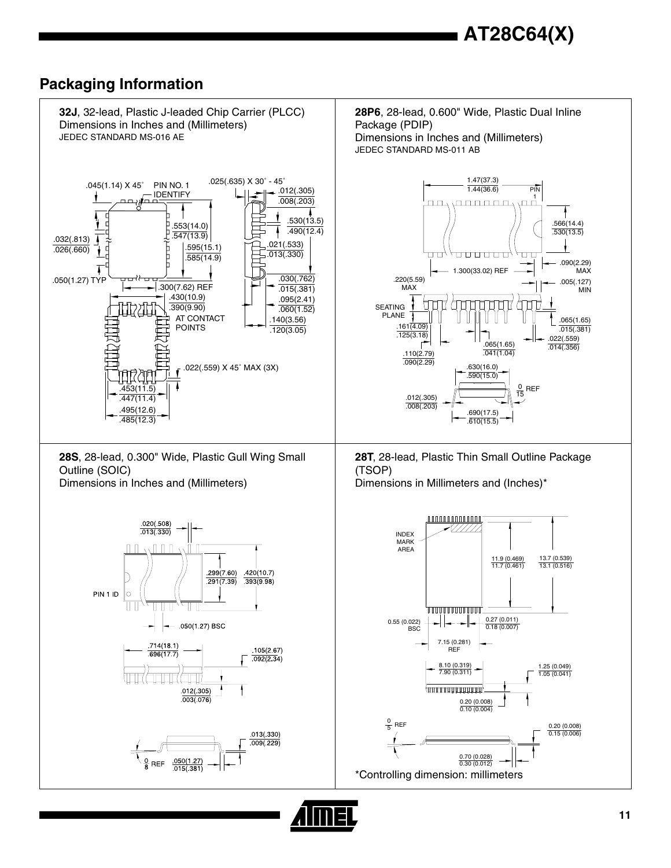#### **Packaging Information**